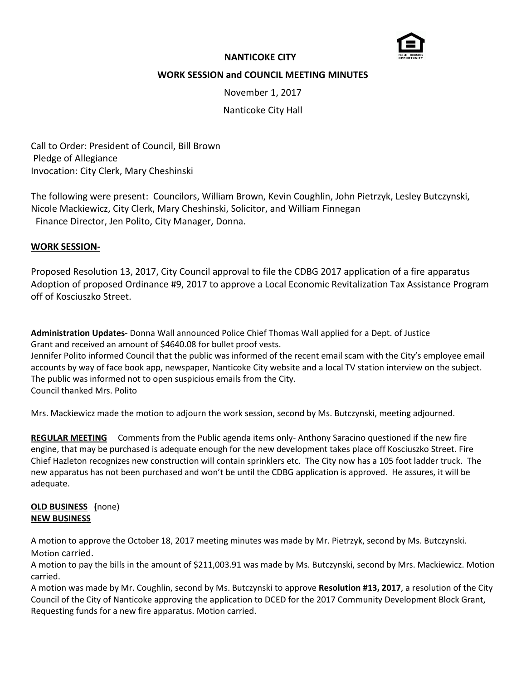

# **NANTICOKE CITY**

# **WORK SESSION and COUNCIL MEETING MINUTES**

November 1, 2017

Nanticoke City Hall

Call to Order: President of Council, Bill Brown Pledge of Allegiance Invocation: City Clerk, Mary Cheshinski

The following were present: Councilors, William Brown, Kevin Coughlin, John Pietrzyk, Lesley Butczynski, Nicole Mackiewicz, City Clerk, Mary Cheshinski, Solicitor, and William Finnegan Finance Director, Jen Polito, City Manager, Donna.

## **WORK SESSION-**

Proposed Resolution 13, 2017, City Council approval to file the CDBG 2017 application of a fire apparatus Adoption of proposed Ordinance #9, 2017 to approve a Local Economic Revitalization Tax Assistance Program off of Kosciuszko Street.

**Administration Updates**- Donna Wall announced Police Chief Thomas Wall applied for a Dept. of Justice Grant and received an amount of \$4640.08 for bullet proof vests.

Jennifer Polito informed Council that the public was informed of the recent email scam with the City's employee email accounts by way of face book app, newspaper, Nanticoke City website and a local TV station interview on the subject. The public was informed not to open suspicious emails from the City. Council thanked Mrs. Polito

Mrs. Mackiewicz made the motion to adjourn the work session, second by Ms. Butczynski, meeting adjourned.

**REGULAR MEETING** Comments from the Public agenda items only- Anthony Saracino questioned if the new fire engine, that may be purchased is adequate enough for the new development takes place off Kosciuszko Street. Fire Chief Hazleton recognizes new construction will contain sprinklers etc. The City now has a 105 foot ladder truck. The new apparatus has not been purchased and won't be until the CDBG application is approved. He assures, it will be adequate.

## **OLD BUSINESS (**none) **NEW BUSINESS**

A motion to approve the October 18, 2017 meeting minutes was made by Mr. Pietrzyk, second by Ms. Butczynski. Motion carried.

A motion to pay the bills in the amount of \$211,003.91 was made by Ms. Butczynski, second by Mrs. Mackiewicz. Motion carried.

A motion was made by Mr. Coughlin, second by Ms. Butczynski to approve **Resolution #13, 2017**, a resolution of the City Council of the City of Nanticoke approving the application to DCED for the 2017 Community Development Block Grant, Requesting funds for a new fire apparatus. Motion carried.